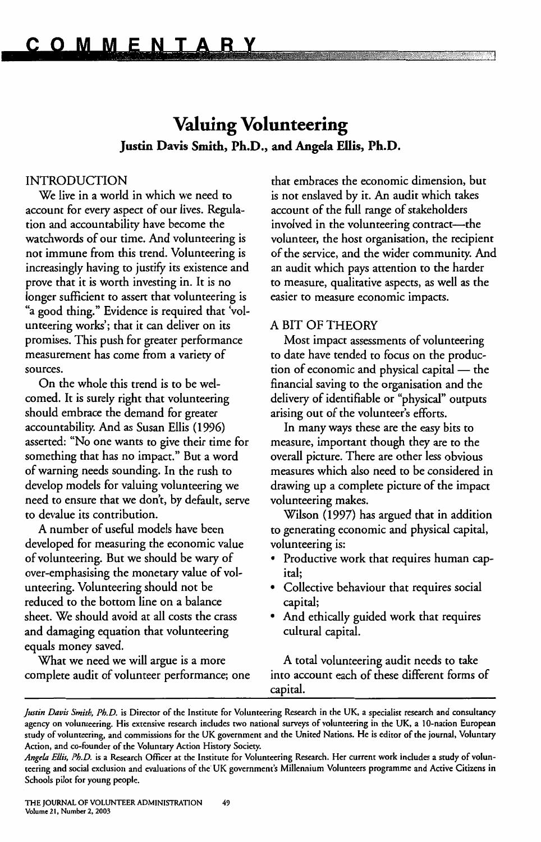# **Valuing Volunteering Justin Davis Smith, Ph.D., and Angela Ellis, Ph.D.**

### INTRODUCTION

We live in a world in which we need to account for every aspect of our lives. Regulation and accountability have become the watchwords of our time. And volunteering is not immune from this trend. Volunteering is increasingly having to justify its existence and prove that it is worth investing in. It is no longer sufficient to assert that volunteering is "a good thing." Evidence is required that 'volunteering works'; that it can deliver on its promises. This push for greater performance measurement has come from a variety of sources.

On the whole this trend is to be welcomed. It is surely right that volunteering should embrace the demand for greater accountability. And as Susan Ellis (1996) asserted: "No one wants to give their time for something that has no impact." But a word of warning needs sounding. In the rush to develop models for valuing volunteering we need to ensure that we don't, by default, serve to devalue its contribution.

A number of useful models have been developed for measuring the economic value of volunteering. But we should be wary of over-emphasising the monetary value of volunteering. Volunteering should not be reduced to the bottom line on a balance sheet. We should avoid at all costs the crass and damaging equation that volunteering equals money saved.

What we need we will argue is a more complete audit of volunteer performance; one that embraces the economic dimension, but is not enslaved by it. An audit which takes account of the full range of stakeholders involved in the volunteering contract-the volunteer, the host organisation, the recipient of the service, and the wider community. And an audit which pays attention to the harder to measure, qualitative aspects, as well as the easier to measure economic impacts.

#### A BIT OF THEORY

Most impact assessments of volunteering to date have tended to focus on the production of economic and physical capital - the financial saving to the organisation and the delivery of identifiable or "physical" outputs arising out of the volunteer's efforts.

In many ways these are the easy bits to measure, important though they are to the overall picture. There are other less obvious measures which also need to be considered in drawing up a complete picture of the impact volunteering makes.

Wilson (1997) has argued that in addition to generating economic and physical capital, volunteering is:

- Productive work that requires human capital;
- Collective behaviour that requires social capital;
- And ethically guided work that requires cultural capital.

A total volunteering audit needs to take into account each of these different forms of capital.

*Justin Davis Smith, Ph.D.* is Director of the Institute for Volunteering Research in the UK, a specialist research and consultancy agency on volunteering. His extensive research includes two national surveys of volunteering in the UK, a 10-nation European study of volunteering, and commissions for the UK government and the United Nations. He is editor of the journal, Voluntary Action, and co-founder of the Voluntary Action History Society.

*Angela Ellis, Ph.D.* is a Research Officer at the Institute for Volunteering Research. Her current work includes a study of volunteering and social exclusion and evaluations of the UK government's Millennium Volunteers programme and Active Citizens in Schools pilot for young people.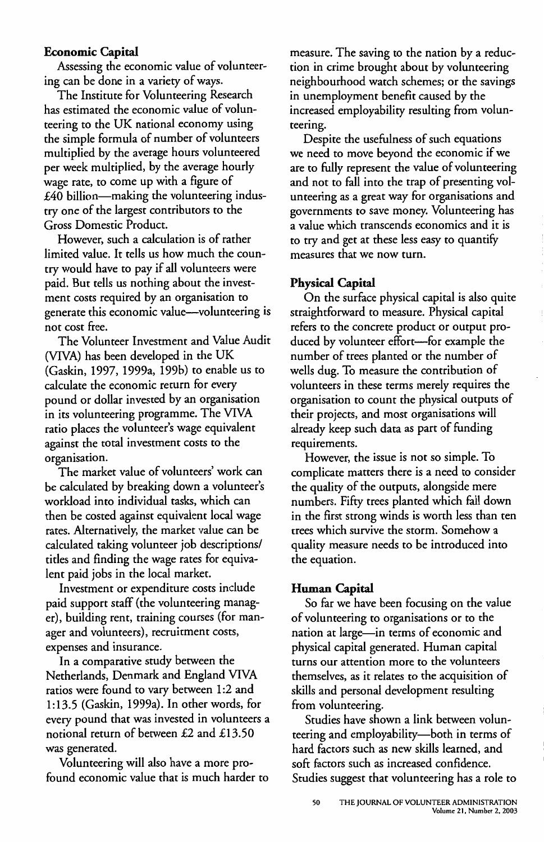# **Economic Capital**

Assessing the economic value of volunteering can be done in a variety of ways.

The Institute for Volunteering Research has estimated the economic value of volunteering to the UK national economy using the simple formula of number of volunteers multiplied by the average hours volunteered per week multiplied, by the average hourly wage rate, to come up with a figure of  $£40$  billion-making the volunteering industry one of the largest contributors to the Gross Domestic Product.

However, such a calculation is of rather limited value. It tells us how much the country would have to pay if all volunteers were paid. But tells us nothing about the investment costs required by an organisation to generate this economic value-volunteering is not cost free.

The Volunteer Investment and Value Audit (VIVA) has been developed in the UK ( Gaskin, 1997, 1999a, 199b) to enable us to calculate the economic return for every pound or dollar invested by an organisation in its volunteering programme. The VIVA ratio places the volunteer's wage equivalent against the total investment costs to the organisation.

The market value of volunteers' work can be calculated by breaking down a volunteer's workload into individual tasks, which can then be costed against equivalent local wage rates. Alternatively, the market value can be calculated taking volunteer job descriptions/ tides and finding the wage rates for equivalent paid jobs in the local market.

Investment or expenditure costs include paid support staff (the volunteering manager), building rent, training courses (for manager and volunteers), recruitment costs, expenses and insurance.

In a comparative study between the Netherlands, Denmark and England VIVA ratios were found to vary between 1:2 and 1: 13.5 (Gaskin, 1999a). In other words, for every pound that was invested in volunteers a notional return of between £2 and £13.50 was generated.

Volunteering will also have a more profound economic value that is much harder to measure. The saving to the nation by a reduction in crime brought about by volunteering neighbourhood watch schemes; or the savings in unemployment benefit caused by the increased employability resulting from volunteering.

Despite the usefulness of such equations we need to move beyond the economic if we are to fully represent the value of volunteering and not to fall into the trap of presenting volunteering as a great way for organisations and governments to save money. Volunteering has a value which transcends economics and it is to try and get at these less easy to quantify measures that we now turn.

#### **Physical Capital**

On the surface physical capital is also quite straightforward to measure. Physical capital refers to the concrete product or output produced by volunteer effort-for example the number of trees planted or the number of wells dug. To measure the contribution of volunteers in these terms merely requires the organisation to count the physical outputs of their projects, and most organisations will already keep such data as part of funding requirements.

However, the issue is not so simple. To complicate matters there is a need to consider the quality of the outputs, alongside mere numbers. Fifty trees planted which fall down in the first strong winds is worth less than ten trees which survive the storm. Somehow a quality measure needs to be introduced into the equation.

#### **Human Capital**

So far we have been focusing on the value of volunteering to organisations or to the nation at large-in terms of economic and physical capital generated. Human capital turns our attention more to the volunteers themselves, as it relates to the acquisition of skills and personal development resulting from volunteering.

Studies have shown a link between volunteering and employability-both in terms of hard factors such as new skills learned, and soft factors such as increased confidence. Studies suggest that volunteering has a role to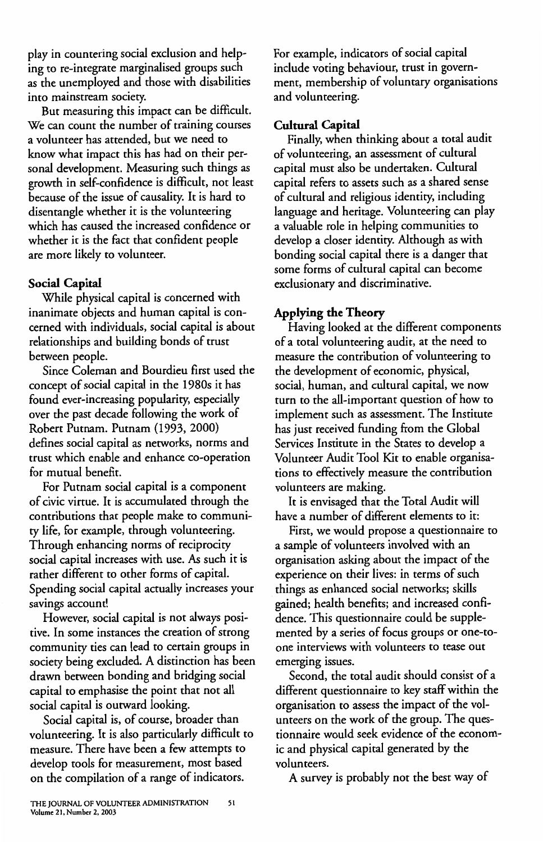play in countering social exclusion and helping to re-integrate marginalised groups such as the unemployed and those with disabilities into mainstream society.

But measuring this impact can be difficult. We can count the number of training courses a volunteer has attended, but we need to know what impact this has had on their personal development. Measuring such things as growth in self-confidence is difficult, not least because of the issue of causality. It is hard to disentangle whether it is the volunteering which has caused the increased confidence or whether it is the fact that confident people are more likely to volunteer.

### **Social Capital**

While physical capital is concerned with inanimate objects and human capital is concerned with individuals, social capital is about relationships and building bonds of trust between people.

Since Coleman and Bourdieu first used the concept of social capital in the 1980s it has found ever-increasing popularity, especially over the past decade following the work of Robert Putnam. Putnam (1993, 2000) defines social capital as networks, norms and trust which enable and enhance co-operation for mutual benefit.

For Putnam social capital is a component of civic virtue. It is accumulated through the contributions that people make to community life, for example, through volunteering. Through enhancing norms of reciprocity social capital increases with use. *As* such it is rather different to other forms of capital. Spending social capital actually increases your savings account!

However, social capital is not always positive. In some instances the creation of strong community ties can lead to certain groups in society being excluded. A distinction has been drawn between bonding and bridging social capital to emphasise the point that not all social capital is outward looking.

Social capital is, of course, broader than volunteering. It is also particularly difficult to measure. There have been a few attempts to develop tools for measurement, most based on the compilation of a range of indicators.

For example, indicators of social capital include voting behaviour, trust in government, membership of voluntary organisations and volunteering.

### **Cultural Capital**

Finally, when thinking about a total audit of volunteering, an assessment of cultural capital must also be undertaken. Cultural capital refers to assets such as a shared sense of cultural and religious identity, including language and heritage. Volunteering can play a valuable role in helping communities to develop a closer identity. Although as with bonding social capital there is a danger that some forms of cultural capital can become exclusionary and discriminative.

# **Applying the Theory**

Having looked at the different components of a total volunteering audit, at the need to measure the contribution of volunteering to the development of economic, physical, social, human, and cultural capital, we now turn to the all-important question of how to implement such as assessment. The Institute has just received funding from the Global Services Institute in the States to develop a Volunteer Audit Tool Kit to enable organisations to effectively measure the contribution volunteers are making.

It is envisaged that the Total Audit will have a number of different elements to it:

First, we would propose a questionnaire to a sample of volunteers involved with an organisation asking about the impact of the experience on their lives: in terms of such things as enhanced social networks; skills gained; health benefits; and increased confidence. This questionnaire could be supplemented by a series of focus groups or one-toone interviews with volunteers to tease out emerging issues.

Second, the total audit should consist of a different questionnaire to key staff within the organisation to assess the impact of the volunteers on the work of the group. The questionnaire would seek evidence of the economic and physical capital generated by the volunteers.

A survey is probably not the best way of